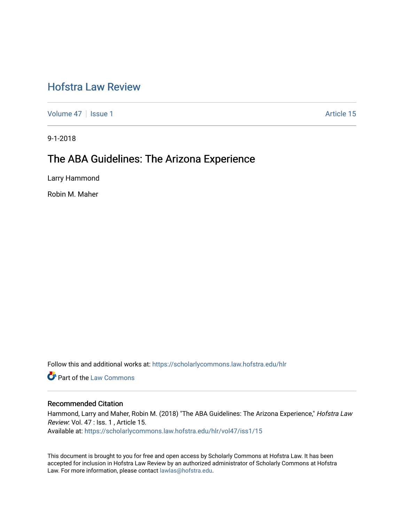# [Hofstra Law Review](https://scholarlycommons.law.hofstra.edu/hlr)

[Volume 47](https://scholarlycommons.law.hofstra.edu/hlr/vol47) | [Issue 1](https://scholarlycommons.law.hofstra.edu/hlr/vol47/iss1) Article 15

9-1-2018

## The ABA Guidelines: The Arizona Experience

Larry Hammond

Robin M. Maher

Follow this and additional works at: [https://scholarlycommons.law.hofstra.edu/hlr](https://scholarlycommons.law.hofstra.edu/hlr?utm_source=scholarlycommons.law.hofstra.edu%2Fhlr%2Fvol47%2Fiss1%2F15&utm_medium=PDF&utm_campaign=PDFCoverPages)

Part of the [Law Commons](http://network.bepress.com/hgg/discipline/578?utm_source=scholarlycommons.law.hofstra.edu%2Fhlr%2Fvol47%2Fiss1%2F15&utm_medium=PDF&utm_campaign=PDFCoverPages)

### Recommended Citation

Hammond, Larry and Maher, Robin M. (2018) "The ABA Guidelines: The Arizona Experience," Hofstra Law Review: Vol. 47 : Iss. 1 , Article 15. Available at: [https://scholarlycommons.law.hofstra.edu/hlr/vol47/iss1/15](https://scholarlycommons.law.hofstra.edu/hlr/vol47/iss1/15?utm_source=scholarlycommons.law.hofstra.edu%2Fhlr%2Fvol47%2Fiss1%2F15&utm_medium=PDF&utm_campaign=PDFCoverPages) 

This document is brought to you for free and open access by Scholarly Commons at Hofstra Law. It has been accepted for inclusion in Hofstra Law Review by an authorized administrator of Scholarly Commons at Hofstra Law. For more information, please contact [lawlas@hofstra.edu.](mailto:lawlas@hofstra.edu)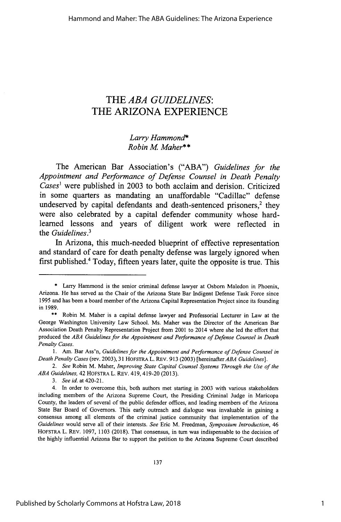### THE *ABA GUIDELINES:* THE **ARIZONA EXPERIENCE**

*Larry Hammond\* Robin M Maher\*\**

The American Bar Association's ("ABA") *Guidelines for the Appointment and Performance of Defense Counsel in Death Penalty Cases'* were published in **2003** to both acclaim and derision. Criticized in some quarters as mandating an unaffordable "Cadillac" defense undeserved by capital defendants and death-sentenced prisoners,<sup>2</sup> they were also celebrated **by** a capital defender community whose hardlearned lessons and years of diligent work were reflected in the *Guidelines.<sup>3</sup>*

In Arizona, this much-needed blueprint of effective representation and standard of care for death penalty defense was largely ignored when first published.4 Today, fifteen years later, quite the opposite is true. This

<sup>\*</sup> Larry Hammond is the senior criminal defense lawyer at Osborn Maledon in Phoenix, Arizona. He has served as the Chair of the Arizona State Bar Indigent Defense Task Force since 1995 and has been a board member of the Arizona Capital Representation Project since its founding in 1989.

<sup>\*\*</sup> Robin M. Maher is a capital defense lawyer and Professorial Lecturer in Law at the George Washington University Law School. Ms. Maher was the Director of the American Bar Association Death Penalty Representation Project from 2001 to 2014 where she led the effort that produced the *ABA Guidelines for the Appointment and Performance of Defense Counsel in Death Penalty Cases.*

<sup>1.</sup> Am. Bar Ass'n, *Guidelines for the Appointment and Performance of Defense Counsel in Death Penalty Cases* (rev. 2003), 31 HOFSTRA L. REv. 913 (2003) [hereinafter *ABA Guidelines].*

*<sup>2.</sup> See* Robin M. Maher, *Improving State Capital Counsel Systems Through the Use of the ABA Guidelines,* 42 HOFSTRA L. REv. 419,419-20 (2013).

*<sup>3.</sup> See id.* at 420-21.

<sup>4.</sup> In order to overcome this, both authors met starting in 2003 with various stakeholders including members of the Arizona Supreme Court, the Presiding Criminal Judge in Maricopa County, the leaders of several of the public defender offices, and leading members of the Arizona State Bar Board of Governors. This early outreach and dialogue was invaluable in gaining a consensus among all elements of the criminal justice community that implementation of the *Guidelines* would serve all of their interests. *See* Eric M. Freedman, *Symposium Introduction,* 46 HOFSTRA L. REv. 1097, 1103 (2018). That consensus, in turn was indispensable to the decision of the highly influential Arizona Bar to support the petition to the Arizona Supreme Court described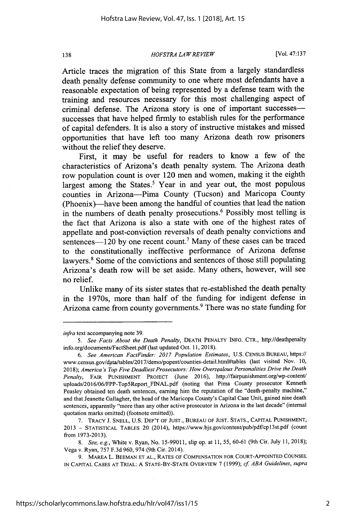#### *HOFSTRA LAW RE VIEW*

Article traces the migration of this State from a largely standardless death penalty defense community to one where most defendants have a reasonable expectation of being represented by a defense team with the training and resources necessary for this most challenging aspect of criminal defense. The Arizona story is one of important successessuccesses that have helped firmly to establish rules for the performance of capital defenders. It is also a story of instructive mistakes and missed opportunities that have left too many Arizona death row prisoners without the relief they deserve.

First, it may be useful for readers to know a few of the characteristics of Arizona's death penalty system. The Arizona death row population count is over 120 men and women, making it the eighth largest among the States.<sup>5</sup> Year in and year out, the most populous counties in Arizona-Pima County (Tucson) and Maricopa County (Phoenix)-have been among the handful of counties that lead the nation in the numbers of death penalty prosecutions.<sup>6</sup> Possibly most telling is the fact that Arizona is also a state with one of the highest rates of appellate and post-conviction reversals of death penalty convictions and sentences— $120$  by one recent count.<sup>7</sup> Many of these cases can be traced to the constitutionally ineffective performance of Arizona defense lawyers.<sup>8</sup> Some of the convictions and sentences of those still populating Arizona's death row will be set aside. Many others, however, will see no relief.

Unlike many of its sister states that re-established the death penalty in the 1970s, more than half of the funding for indigent defense in Arizona came from county governments.<sup>9</sup> There was no state funding for

138

*infra* text accompanying note 39.

*<sup>5.</sup> See Facts About the Death Penalty,* DEATH PENALTY INFO. CTR., http://deathpenalty info.org/documents/FactSheet.pdf (last updated Oct. 11, 2018).

*<sup>6.</sup> See American FactFinder: 2017 Population Estimates,* U.S. CENSUS BUREAU, https:// www.census.gov/data/tables/2017/demo/popest/counties-detail.html#tables (last visited Nov. 10, 2018); *America's Top Five Deadliest Prosecutors: How Overzeajous Personalities Drive the Death Penalty,* FAIR PUNISHMENT PROJECT (June 2016), http://fairpunishment.org/wp-content/ uploads/2016/06/FPP-Top5Report FINAL.pdf (noting that Pima County prosecutor Kenneth Peasley obtained ten death sentences, earning him the reputation of the "death-penalty machine," and that Jeanette Gallagher, the head of the Maricopa County's Capital Case Unit, gained nine death sentences, apparently "more than any other active prosecutor in Arizona in the last decade" (internal quotation marks omitted) (footnote omitted)).

<sup>7.</sup> TRACY J. SNELL, **U.S.** DEP'T OF JUST., BUREAU OF JUST. STATS., CAPITAL PUNISHMENT, 2013 **-** STATISTICAL TABLES 20 (2014), https://www.bjs.gov/content/pub/pdf/cpl3st.pdf (count from 1973-2013).

*<sup>8.</sup> See, e.g.,* White v. Ryan, No. 15-99011, slip op. at 11, 55, 60-61 (9th Cir. July 11, 2018); Vega v. Ryan, 757 F.3d 960, 974 (9th Cir. 2014).

<sup>9.</sup> MAREA L. BEEMAN ET AL., RATES OF COMPENSATION FOR COURT-APPOINTED COUNSEL IN CAPITAL CASES AT TRIAL: A STATE-BY-STATE OVERVIEW 7 (1999); *cf ABA Guidelines, supra*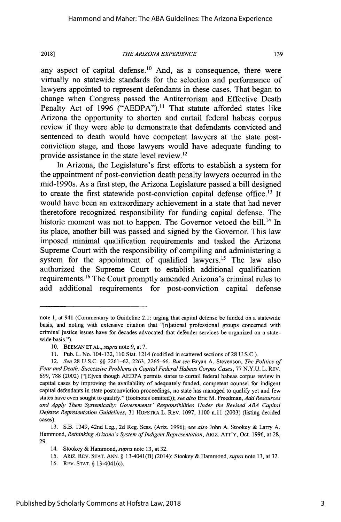#### *THE ARIZONA EXPERIENCE*

any aspect of capital defense.<sup>10</sup> And, as a consequence, there were virtually no statewide standards for the selection and performance of lawyers appointed to represent defendants in these cases. That began to change when Congress passed the Antiterrorism and Effective Death Penalty Act of 1996 ("AEDPA").<sup>11</sup> That statute afforded states like Arizona the opportunity to shorten and curtail federal habeas corpus review if they were able to demonstrate that defendants convicted and sentenced to death would have competent lawyers at the state postconviction stage, and those lawyers would have adequate funding to provide assistance in the state level review.12

In Arizona, the Legislature's first efforts to establish a system for the appointment of post-conviction death penalty lawyers occurred in the mid-1990s. As a first step, the Arizona Legislature passed a bill designed to create the first statewide post-conviction capital defense office.<sup>13</sup> It would have been an extraordinary achievement in a state that had never theretofore recognized responsibility for funding capital defense. The historic moment was not to happen. The Governor vetoed the bill.<sup>14</sup> In its place, another bill was passed and signed by the Governor. This law imposed minimal qualification requirements and tasked the Arizona Supreme Court with the responsibility of compiling and administering a system for the appointment of qualified lawyers.<sup>15</sup> The law also authorized the Supreme Court to establish additional qualification requirements.<sup>16</sup> The Court promptly amended Arizona's criminal rules to add additional requirements for post-conviction capital defense

note 1, at 941 (Commentary to Guideline 2.1: urging that capital defense be funded on a statewide basis, and noting with extensive citation that "[n]ational professional groups concerned with criminal justice issues have for decades advocated that defender services be organized on a statewide basis.").

<sup>10.</sup> BEEMAN ET AL., *supra* note 9, at 7.

<sup>11.</sup> Pub. L. No. 104-132, 110 Stat. 1214 (codified in scattered sections of 28 U.S.C.).

<sup>12.</sup> *See* 28 U.S.C. §§ 2261-62, 2263, 2265-66. *But see* Bryan A. Stevenson, *The Politics of Fear and Death: Successive Problems in Capital Federal Habeas Corpus Cases,* 77 N.Y.U. L. REV. 699, 788 (2002) ("[E]ven though AEDPA permits states to curtail federal habeas corpus review in capital cases by improving the availability of adequately funded, competent counsel for indigent capital defendants in state postconviction proceedings, no state has managed to qualify yet and few states have even sought to qualify." (footnotes omitted)); *see also* Eric M. Freedman, *Add Resources and Apply Them Systemically: Governments' Responsibilities Under the Revised ABA Capital Defense Representation Guidelines,* 31 HOFSTRA L. REV. 1097, 1100 n. 11(2003) (listing decided cases).

<sup>13.</sup> S.B. 1349, 42nd Leg., 2d Reg. Sess. (Aiz. 1996); *see also* John A. Stookey & Larry A. Hammond, *Rethinking Arizona's System of Indigent Representation*, ARIZ. ATT'Y, Oct. 1996, at 28, 29.

<sup>14.</sup> Stookey & Hammond, *supra* note 13, at 32.

<sup>15.</sup> ARIz. REV. STAT. ANN. § 13-4041(B) (2014); Stookey & Hammond, *supra* note 13, at 32.

<sup>16.</sup> REV. STAT. § 13-4041(c).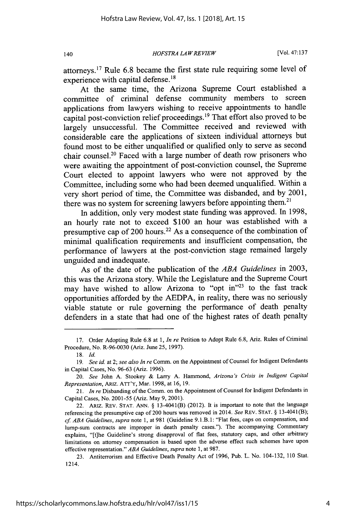*HOFSTRA LA W REVIEW*

attorneys.<sup>17</sup> Rule 6.8 became the first state rule requiring some level of experience with capital defense.<sup>18</sup>

At the same time, the Arizona Supreme Court established a committee of criminal defense community members to screen applications from lawyers wishing to receive appointments to handle capital post-conviction relief proceedings.<sup>19</sup> That effort also proved to be largely unsuccessful. The Committee received and reviewed with considerable care the applications of sixteen individual attorneys but found most to be either unqualified or qualified only to serve as second chair counsel.<sup>20</sup> Faced with a large number of death row prisoners who were awaiting the appointment of post-conviction counsel, the Supreme Court elected to appoint lawyers who were not approved by the Committee, including some who had been deemed unqualified. Within a very short period of time, the Committee was disbanded, and by 2001, there was no system for screening lawyers before appointing them.<sup>21</sup>

In addition, only very modest state funding was approved. In 1998, an hourly rate not to exceed \$100 an hour was established with a presumptive cap of 200 hours.<sup>22</sup> As a consequence of the combination of minimal qualification requirements and insufficient compensation, the performance of lawyers at the post-conviction stage remained largely unguided and inadequate.

As of the date of the publication of the *ABA Guidelines* in 2003, this was the Arizona story. While the Legislature and the Supreme Court may have wished to allow Arizona to "opt in"<sup>23</sup> to the fast track opportunities afforded by the AEDPA, in reality, there was no seriously viable statute or rule governing the performance of death penalty defenders in a state that had one of the highest rates of death penalty

140

<sup>17.</sup> Order Adopting Rule 6.8 at 1, *In re* Petition to Adopt Rule 6.8, Ariz. Rules of Criminal Procedure, No. R-96-0030 (Ariz. June 25, 1997).

<sup>18.</sup> *Id.*

*<sup>19.</sup> See id.* at 2; *see also In re* Comm. on the Appointment of Counsel for Indigent Defendants in Capital Cases, No. 96-63 (Ariz. 1996).

<sup>20.</sup> *See* John A. Stookey & Larry A. Hammond, *Arizona's Crisis in Indigent Capital Representation, AIUZ.* ATT'Y, Mar. 1998, at 16, 19.

<sup>21.</sup> *In re* Disbanding of the Comm. on the Appointment of Counsel for Indigent Defendants in Capital Cases, No. 2001-55 (Ariz. May 9, 2001).

<sup>22.</sup> ARIZ. REV. STAT. ANN. § 13-4041(B) (2012). It is important to note that the language referencing the presumptive cap of 200 hours was removed in 2014. *See* REv. STAT. § 13-4041(B); **cf** *ABA Guidelines, supra* note 1, at 981 (Guideline 9.1 .B. 1: "Flat fees, caps on compensation, and lump-sum contracts are improper in death penalty cases."). The accompanying Commentary explains, "[t]he Guideline's strong disapproval of flat fees, statutory caps, and other arbitrary limitations on attorney compensation is based upon the adverse effect such schemes have upon effective representation." *ABA Guidelines, supra* note 1, at 987.

<sup>23.</sup> Antiterrorism and Effective Death Penalty Act of 1996, Pub. L. No. 104-132, 110 Stat. 1214.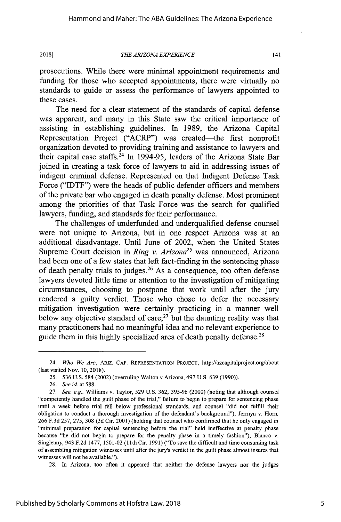#### *THE ARIZONA EXPERIENCE*

141

prosecutions. While there were minimal appointment requirements and funding for those who accepted appointments, there were virtually no standards to guide or assess the performance of lawyers appointed to these cases.

The need for a clear statement of the standards of capital defense was apparent, and many in this State saw the critical importance of assisting in establishing guidelines. In 1989, the Arizona Capital Representation Project ("ACRP") was created—the first nonprofit organization devoted to providing training and assistance to lawyers and their capital case staffs.<sup>24</sup> In 1994-95, leaders of the Arizona State Bar joined in creating a task force of lawyers to aid in addressing issues of indigent criminal defense. Represented on that Indigent Defense Task Force ("IDTF") were the heads of public defender officers and members of the private bar who engaged in death penalty defense. Most prominent among the priorities of that Task Force was the search for qualified lawyers, funding, and standards for their performance.

The challenges of underfunded and underqualified defense counsel were not unique to Arizona, but in one respect Arizona was at an additional disadvantage. Until June of 2002, when the United States Supreme Court decision in *Ring v. Arizona*<sup>25</sup> was announced, Arizona had been one of a few states that left fact-finding in the sentencing phase of death penalty trials to judges.<sup>26</sup> As a consequence, too often defense lawyers devoted little time or attention to the investigation of mitigating circumstances, choosing to postpone that work until after the jury rendered a guilty verdict. Those who chose to defer the necessary mitigation investigation were certainly practicing in a manner well below any objective standard of care; $27$  but the daunting reality was that many practitioners had no meaningful idea and no relevant experience to guide them in this highly specialized area of death penalty defense.<sup>28</sup>

28. In Arizona, too often it appeared that neither the defense lawyers nor the judges

<sup>24.</sup> *Who We Are,* ARIZ. **CAP. REPRESENTATION PROJECT,** http://azcapitalproject.org/about (last visited Nov. 10, 2018).

<sup>25. 536</sup> U.S. 584 (2002) (overruling Walton v Arizona, 497 U.S. 639 (1990)).

<sup>26.</sup> *See id.* at 588.

<sup>27.</sup> See, e.g., Williams v. Taylor, 529 U.S. 362, 395-96 (2000) (noting that although counsel "competently handled the guilt phase of the trial," failure to begin to prepare for sentencing phase until a week before trial fell below professional standards, and counsel "did not fulfill their obligation to conduct a thorough investigation of the defendant's background"); Jermyn v. Horn, 266 F.3d 257, 275, 308 (3d Cir. 2001) (holding that counsel who confirmed that he only engaged in "minimal preparation for capital sentencing before the trial" held ineffective at penalty phase because "he did not begin to prepare for the penalty phase in a timely fashion"); Blanco v. Singletary, 943 F.2d 1477, 1501-02 (1Ith Cir. 1991) ("To save the difficult and time consuming task of assembling mitigation witnesses until after the jury's verdict in the guilt phase almost insures that witnesses will not be available.").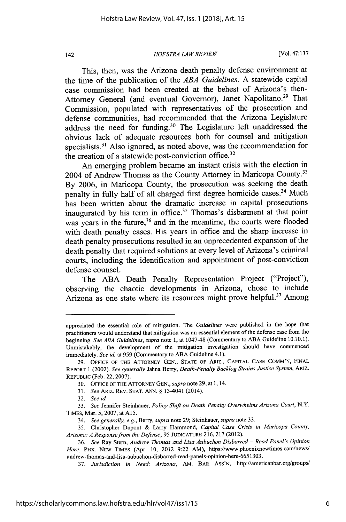*HOFSTRA LA W REVIEW*

[Vol. **47:137**

This, then, was the Arizona death penalty defense environment at the time of the publication of the *ABA Guidelines.* A statewide capital case commission had been created at the behest of Arizona's then-Attorney General (and eventual Governor), Janet Napolitano.<sup>29</sup> That Commission, populated with representatives of the prosecution and defense communities, had recommended that the Arizona Legislature address the need for funding.<sup>30</sup> The Legislature left unaddressed the obvious lack of adequate resources both for counsel and mitigation specialists.<sup>31</sup> Also ignored, as noted above, was the recommendation for the creation of a statewide post-conviction office.<sup>32</sup>

An emerging problem became an instant crisis with the election in 2004 of Andrew Thomas as the County Attorney in Maricopa County.<sup>33</sup> By 2006, in Maricopa County, the prosecution was seeking the death penalty in fully half of all charged first degree homicide cases.<sup>34</sup> Much has been written about the dramatic increase in capital prosecutions inaugurated by his term in office.<sup>35</sup> Thomas's disbarment at that point was years in the future,<sup>36</sup> and in the meantime, the courts were flooded with death penalty cases. His years in office and the sharp increase in death penalty prosecutions resulted in an unprecedented expansion of the death penalty that required solutions at every level of Arizona's criminal courts, including the identification and appointment of post-conviction defense counsel.

The ABA Death Penalty Representation Project ("Project"), observing the chaotic developments in Arizona, chose to include Arizona as one state where its resources might prove helpful.<sup>37</sup> Among

appreciated the essential role of mitigation. The *Guidelines* were published in the hope that practitioners would understand that mitigation was an essential element of the defense case from the beginning. *See ABA Guidelines, supra* note 1, at 1047-48 (Commentary to ABA Guideline 10.10.1). Unmistakably, the development of the mitigation investigation should have commenced immediately. *See id.* at 959 (Commentary to ABA Guideline 4.1).

<sup>29.</sup> OFFICE OF THE ATTORNEY GEN., STATE OF ARIZ., CAPITAL CASE COMM'N, FINAL REPORT 1 (2002). *See generally* Jahna Berry, *Death-Penalty Backlog Strains Justice System, ARIZ.* REPUBLIC (Feb. 22, 2007).

<sup>30.</sup> OFFICE OF THE ATTORNEY GEN., *supra* note 29, at 1, 14.

<sup>31.</sup> *SeeARIz.* REv. STAT. ANN. § 13-4041 (2014).

<sup>32.</sup> *See id.*

<sup>33.</sup> *See* Jennifer Steinhauer, *Policy Shift on Death Penalty Overwhelms Arizona Court,* N.Y. TIMES, Mar. 5, 2007, at *A15.*

<sup>34.</sup> *See generally, e.g.,* Berry, *supra* note 29; Steinhauer, *supra* note 33.

<sup>35.</sup> Christopher Dupont & Larry Hammond, *Capital Case Crisis in Maricopa County, Arizona: A Response from the Defense,* 95 JUDICATURE 216, 217 (2012).

<sup>36.</sup> *See* Ray Stern, *Andrew Thomas and Lisa Aubuchon Disbarred -Read Panel's Opinion Here,* PHx. NEw TIMES (Apr. 10, 2012 9:22 AM), https://www.phoenixnewtimes.com/news/ andrew-thomas-and-lisa-aubuchon-disbarred-read-panels-opinion-here-6651303.

<sup>37.</sup> *Jurisdiction in Need. Arizona,* AM. BAR ASS'N, http://americanbar.org/groups/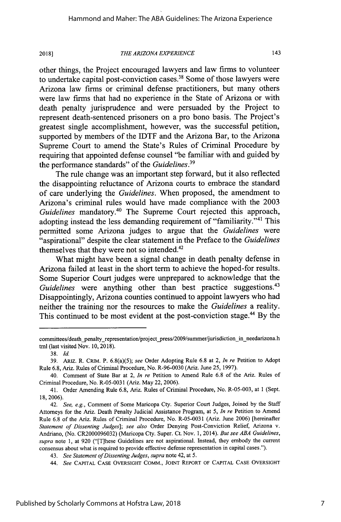#### *THE ARIZONA EXPERIENCE*

143

other things, the Project encouraged lawyers and law firms to volunteer to undertake capital post-conviction cases.<sup>38</sup> Some of those lawyers were Arizona law firms or criminal defense practitioners, but many others were law firms that had no experience in the State of Arizona or with death penalty jurisprudence and were persuaded by the Project to represent death-sentenced prisoners on a pro bono basis. The Project's greatest single accomplishment, however, was the successful petition, supported by members of the IDTF and the Arizona Bar, to the Arizona Supreme Court to amend the State's Rules of Criminal Procedure by requiring that appointed defense counsel "be familiar with and guided by the performance standards" of the *Guidelines."*

The rule change was an important step forward, but it also reflected the disappointing reluctance of Arizona courts to embrace the standard of care underlying the *Guidelines.* When proposed, the amendment to Arizona's criminal rules would have made compliance with the 2003 Guidelines mandatory.<sup>40</sup> The Supreme Court rejected this approach, adopting instead the less demanding requirement of "familiarity."<sup>41</sup> This permitted some Arizona judges to argue that the *Guidelines* were "aspirational" despite the clear statement in the Preface to the *Guidelines* themselves that they were not so intended.<sup>42</sup>

What might have been a signal change in death penalty defense in Arizona failed at least in the short term to achieve the hoped-for results. Some Superior Court judges were unprepared to acknowledge that the *Guidelines* were anything other than best practice suggestions.<sup>43</sup> Disappointingly, Arizona counties continued to appoint lawyers who had neither the training nor the resources to make the *Guidelines* a reality. This continued to be most evident at the post-conviction stage.<sup>44</sup> By the

committees/death penalty\_representation/project\_press/2009/summer/jurisdiction\_in\_needarizona.h tml (last visited Nov. 10, 2018).

<sup>38.</sup> Id.

<sup>39.</sup> ARTZ. R. CRIM. P. 6.8(a)(5); *see* Order Adopting Rule 6.8 at 2, *In re* Petition to Adopt Rule 6.8, Ariz. Rules of Criminal Procedure, No. R-96-0030 (Ariz. June 25, 1997).

<sup>40.</sup> Comment of State Bar at 2, *In re* Petition to Amend Rule 6.8 of the Ariz. Rules of Criminal Procedure, No. R-05-0031 (Ariz. May 22, 2006).

<sup>41.</sup> Order Amending Rule 6.8, Ariz. Rules of Criminal Procedure, No. R-05-003, at 1 (Sept. 18, 2006).

<sup>42.</sup> *See, e.g.,* Comment of Some Maricopa Cty. Superior Court Judges, Joined by the Staff Attorneys for the Ariz. Death Penalty Judicial Assistance Program, at *5, In re* Petition to Amend Rule 6.8 of the Ariz. Rules of Criminal Procedure, No. R-05-0031 (Ariz. June 2006) [hereinafter *Statement of Dissenting Judges]; see also* Order Denying Post-Conviction Relief, Arizona v. Andriano, (No. CR2000096032) (Maricopa Cty. Super. Ct. Nov. 1, 2014). *But see ABA Guidelines, supra* note 1, at 920 ("[T]hese Guidelines are not aspirational. Instead, they embody the current consensus about what is required to provide effective defense representation in capital cases.").

<sup>43.</sup> *See Statement of Dissenting Judges, supra* note 42, at 5.

<sup>44.</sup> *See* **CAPITAL** CASE OVERSIGHT COMM., **JOINT** REPORT **OF CAPITAL CASE** OVERSIGHT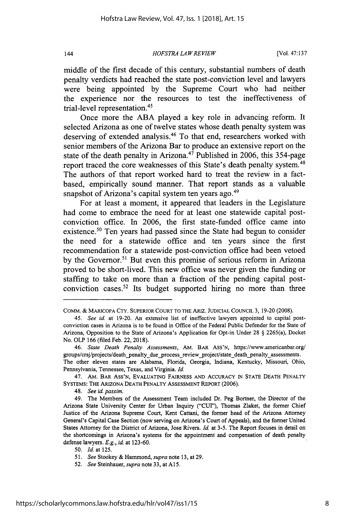*HOFSTRA LA W REVIEW*

middle of the first decade of this century, substantial numbers of death penalty verdicts had reached the state post-conviction level and lawyers were being appointed by the Supreme Court who had neither the experience nor the resources to test the ineffectiveness of trial-level representation.<sup>45</sup>

Once more the ABA played a key role in advancing reform. It selected Arizona as one of twelve states whose death penalty system was deserving of extended analysis.<sup>46</sup> To that end, researchers worked with senior members of the Arizona Bar to produce an extensive report on the state of the death penalty in Arizona.<sup>47</sup> Published in 2006, this 354-page report traced the core weaknesses of this State's death penalty system.<sup>48</sup> The authors of that report worked hard to treat the review in a factbased, empirically sound manner. That report stands as a valuable snapshot of Arizona's capital system ten years ago.<sup>49</sup>

For at least a moment, it appeared that leaders in the Legislature had come to embrace the need for at least one statewide capital postconviction office. In 2006, the first state-funded office came into existence.<sup>50</sup> Ten years had passed since the State had begun to consider the need for a statewide office and ten years since the first recommendation for a statewide post-conviction office had been vetoed by the Governor.<sup>51</sup> But even this promise of serious reform in Arizona proved to be short-lived. This new office was never given the funding or staffing to take on more than a fraction of the pending capital postconviction cases.52 Its budget supported hiring no more than three

144

COMM. **&** MARICOPA CTY. SUPERIOR **COURT** TO THE ARIZ. **JUDICIAL** CouNCL 3, 19-20 (2008).

<sup>45.</sup> *See id* at 19-20. An extensive list of ineffective lawyers appointed to capital postconviction cases in Arizona is to be found in Office of the Federal Public Defender for the State of Arizona, Opposition to the State of Arizona's Application for Opt-in Under 28 § 2265(a), Docket No. OLP 166 (filed Feb. 22, 2018).

<sup>46.</sup> *State Death Penalty Assessments,* AM. BAR ASS'N, https://www.americanbar.org/ groups/crsj/projects/death\_penalty\_due\_process\_review\_project/state\_death\_penalty\_assessments. The other eleven states are Alabama, Florida, Georgia, Indiana, Kentucky, Missouri, Ohio, Pennsylvania, Tennessee, Texas, and Virginia. *Id.*

<sup>47.</sup> AM. BAR ASS'N, EVALUATING FAIRNESS **AND** ACCURACY IN STATE DEATH PENALTY SYSTEMS: THE ARIZONA DEATH PENALTY ASSESSMENT REPORT (2006).

<sup>48.</sup> *See* id. *passim.*

<sup>49.</sup> The Members of the Assessment Team included Dr. Peg Bortner, the Director of the Arizona State University Center for Urban Inquiry ("CUr'), Thomas Zlaket, the former Chief Justice of the Arizona Supreme Court, Kent Cattani, the former head of the Arizona Attorney General's Capital Case Section (now serving on Arizona's Court of Appeals), and the former United States Attorney for the District of Arizona, Jose Rivera. Id. at 3-5. The Report focuses in detail on the shortcomings in Arizona's systems for the appointment and compensation of death penalty defense lawyers. *E.g., id* at 123-60.

*<sup>50.</sup> Id.* at 125.

*<sup>51.</sup> See* Stookey & Hammond, *supra* note 13, at 29.

*<sup>52.</sup> See* Steinhauer, *supra* note 33, at A15.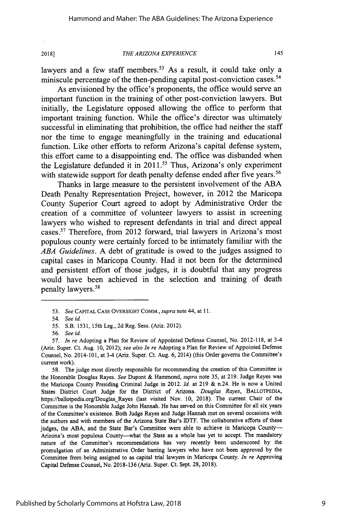#### *THE ARIZONA EXPERIENCE*

145

lawyers and a few staff members.<sup>53</sup> As a result, it could take only a miniscule percentage of the then-pending capital post-conviction cases.<sup>54</sup>

As envisioned by the office's proponents, the office would serve an important function in the training of other post-conviction lawyers. But initially, the Legislature opposed allowing the office to perform that important training function. While the office's director was ultimately successful in eliminating that prohibition, the office had neither the staff nor the time to engage meaningfully in the training and educational function. Like other efforts to reform Arizona's capital defense system, this effort came to a disappointing end. The office was disbanded when the Legislature defunded it in  $2011$ .<sup>55</sup> Thus, Arizona's only experiment with statewide support for death penalty defense ended after five years.<sup>56</sup>

Thanks in large measure to the persistent involvement of the ABA Death Penalty Representation Project, however, in 2012 the Maricopa County Superior Court agreed to adopt by Administrative Order the creation of a committee of volunteer lawyers to assist in screening lawyers who wished to represent defendants in trial and direct appeal cases.<sup>57</sup> Therefore, from 2012 forward, trial lawyers in Arizona's most populous county were certainly forced to be intimately familiar with the *ABA Guidelines.* A debt of gratitude is owed to the judges assigned to capital cases in Maricopa County. Had it not been for the determined and persistent effort of those judges, it is doubtful that any progress would have been achieved in the selection and training of death penalty lawyers.<sup>58</sup>

58. The judge most directly responsible for recommending the creation of this Committee is the Honorable Douglas Rayes. *See* Dupont & Hammond, *supra* note 35, at 219. Judge Reyes was the Maricopa County Presiding Criminal Judge in 2012. *Id.* at 219 & n.24. He is now a United States District Court Judge for the District of Arizona. *Douglas Rayes,* BALLOTPEDIA, https://ballotpedia.org/Douglas\_Rayes (last visited Nov. 10, 2018). The current Chair of the Committee is the Honorable Judge John Hannah. He has served on this Committee for all six years of the Committee's existence. Both Judge Rayes and Judge Hannah met on several occasions with the authors and with members of the Arizona State Bar's IDTF. The collaborative efforts of these judges, the ABA, and the State Bar's Committee were able to achieve in Maricopa County-Arizona's most populous County-what the State as a whole has yet to accept. The mandatory nature of the Committee's recommendations has very recently been underscored by the promulgation of an Administrative Order barring lawyers who have not been approved by the Committee from being assigned to as capital trial lawyers in Maricopa County. *In re* Approving Capital Defense Counsel, No. 2018-136 (Ariz. Super. Ct. Sept. 28, 2018).

<sup>53.</sup> *See* CAPITAL CASE OVERSIGHT CoMM., *supra* note 44, at 11.

<sup>54.</sup> *See id*

*<sup>55.</sup>* S.B. 1531, 15th Leg., 2d Reg. Sess. (Ariz. 2012).

<sup>56.</sup> *See id.*

<sup>57.</sup> *In re* Adopting a Plan for Review of Appointed Defense Counsel, No. 2012-118, at 3-4 (Ariz. Super. Ct. Aug. 10, 2012); *see also In re* Adopting a Plan for Review of Appointed Defense Counsel, No. 2014-101, at 3-4 (Ariz. Super. Ct. Aug. 6, 2014) (this Order governs the Committee's current work).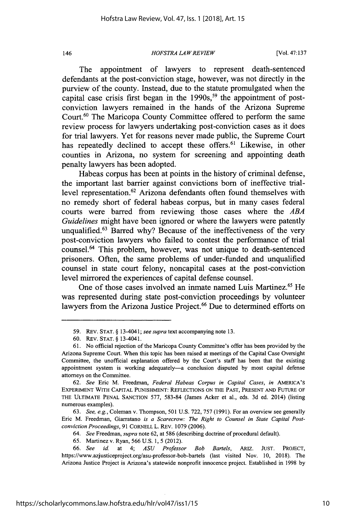*HOFSTRA LA W REVIEW*

[Vol. **47:137**

The appointment of lawyers to represent death-sentenced defendants at the post-conviction stage, however, was not directly in the purview of the county. Instead, due to the statute promulgated when the capital case crisis first began in the  $1990s$ ,<sup>59</sup> the appointment of postconviction lawyers remained in the hands of the Arizona Supreme Court.<sup>60</sup> The Maricopa County Committee offered to perform the same review process for lawyers undertaking post-conviction cases as it does for trial lawyers. Yet for reasons never made public, the Supreme Court has repeatedly declined to accept these offers.<sup>61</sup> Likewise, in other counties in Arizona, no system for screening and appointing death penalty lawyers has been adopted.

Habeas corpus has been at points in the history of criminal defense, the important last barrier against convictions born of ineffective triallevel representation.<sup>62</sup> Arizona defendants often found themselves with no remedy short of federal habeas corpus, but in many cases federal courts were barred from reviewing those cases where the *ABA Guidelines* might have been ignored or where the lawyers were patently unqualified. $63$  Barred why? Because of the ineffectiveness of the very post-conviction lawyers who failed to contest the performance of trial counsel.<sup>64</sup> This problem, however, was not unique to death-sentenced prisoners. Often, the same problems of under-funded and unqualified counsel in state court felony, noncapital cases at the post-conviction level mirrored the experiences of capital defense counsel.

One of those cases involved an inmate named Luis Martinez.<sup>65</sup> He was represented during state post-conviction proceedings by volunteer lawyers from the Arizona Justice Project.<sup>66</sup> Due to determined efforts on

63. *See, e.g.,* Coleman v. Thompson, 501 U.S. 722, 757 (1991). For an overview see generally Eric M. Freedman, Giarratano *is a Scarecrow: The Right to Counsel in State Capital Postconviction Proceedings,* 91 CORNELL L. REv. 1079 (2006).

<sup>59.</sup> REV. STAT. § 13-4041; *see supra* text accompanying note 13.

<sup>60.</sup> REv. STAT. § 13-4041.

<sup>61.</sup> No official rejection of the Maricopa County Committee's offer has been provided by the Arizona Supreme Court. When this topic has been raised at meetings of the Capital Case Oversight Committee, the unofficial explanation offered by the Court's staff has been that the existing appointment system is working adequately-a conclusion disputed by most capital defense attorneys on the Committee.

<sup>62.</sup> *See* Eric M. Freedman, *Federal Habeas Corpus in Capital Cases, in* AMERICA'S EXPERIMENT WITH CAPITAL PUNISHMENT: REFLECTIONS ON THE PAST, PRESENT AND FUTURE OF THE ULTIMATE PENAL SANCTION 577, 583-84 (James Acker et al., eds. 3d ed. 2014) (listing numerous examples).

<sup>64.</sup> *See* Freedman, *supra* note 62, at 586 (describing doctrine of procedural default).

<sup>65.</sup> Martinez v. Ryan, 566 U.S. 1, 5 (2012).

<sup>66.</sup> *See id* at 4; *ASU Professor Bob Bartels,* ARIZ. JUST. PROJECT, https://www.azjusticeproject.org/asu-professor-bob-bartels (last visited Nov. 10, 2018). The Arizona Justice Project is Arizona's statewide nonprofit innocence project. Established in 1998 by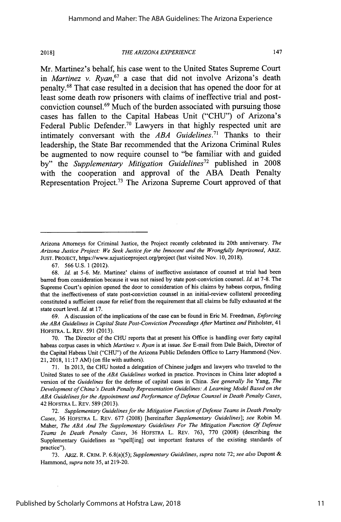#### *THE ARIZONA EXPERIENCE*

147

Mr. Martinez's behalf, his case went to the United States Supreme Court *in Martinez v. Ryan,67* a case that did not involve Arizona's death penalty.68 That case resulted in a decision that has opened the door for at least some death row prisoners with claims of ineffective trial and postconviction counsel.<sup>69</sup> Much of the burden associated with pursuing those cases has fallen to the Capital Habeas Unit **("CHU")** of Arizona's Federal Public Defender. 7° Lawyers in that **highly** respected unit are intimately conversant with the *ABA Guidelines*.<sup>71</sup> Thanks to their leadership, the State Bar recommended that the Arizona Criminal Rules be augmented to now require counsel to "be familiar with and guided by" the *Supplementary Mitigation Guidelines72* published in 2008 with the cooperation and approval of the **ABA** Death Penalty Representation Project.<sup>73</sup> The Arizona Supreme Court approved of that

Arizona Attorneys for Criminal Justice, the Project recently celebrated its 20th anniversary. *The Arizona Justice Project: We Seek Justice for the Innocent and the Wrongfully Imprisoned, ARIZ.* JUST. PROJECT, https://www.azjusticeproject.org/project (last visited Nov. 10, 2018).

<sup>67. 566</sup> U.S. 1 (2012).

<sup>68.</sup> *Id.* at 5-6. Mr. Martinez' claims of ineffective assistance of counsel at trial had been barred from consideration because it was not raised by state post-conviction counsel. *Id.* at 7-8. The Supreme Court's opinion opened the door to consideration of his claims by habeas corpus, finding that the ineffectiveness of state post-conviction counsel in an initial-review collateral proceeding constituted a sufficient cause for relief from the requirement that all claims be fully exhausted at the state court level. *Id.* at 17.

<sup>69.</sup> A discussion of the implications of the case can be found in Eric M. Freedman, *Enforcing the ABA Guidelines in Capital State Post-Conviction Proceedings After* Martinez *and* Pinholster, 41 HOFSTRA. L. REV. 591 (2013).

<sup>70.</sup> The Director of the **CHU** reports that at present his Office is handling over forty capital habeas corpus cases in which *Martinez v. Ryan* is at issue. *See* E-mail from Dale Baich, Director of the Capital Habeas Unit ("CHU") of the Arizona Public Defenders Office to Larry Hammond (Nov. 21, 2018, 11:17 AM) (on file with authors).

<sup>71.</sup> In 2013, the CHU hosted a delegation of Chinese judges and lawyers who traveled to the United States to see of the *ABA Guidelines* worked in practice. Provinces in China later adopted a version of the *Guidelines* for the defense of capital cases in China. *See generally* Jie Yang, *The Development of China's Death Penalty Representation Guidelines: A Learning Model Based on the ABA Guidelines for the Appointment and Performance of Defense Counsel in Death Penalty Cases,* 42 HOFSTRA L. REV. 589 (2013).

<sup>72.</sup> *Supplementary Guidelines for the Mitigation Function of Defense Teams in Death Penalty Cases,* 36 HOFSTRA L. REv. 677 (2008) [hereinafter *Supplementary Guidelines]; see* Robin M. Maher, *The ABA And The Supplementary Guidelines For The Mitigation Function Of Defense Teams In Death Penalty Cases,* 36 HOFSTRA L. REv. 763, 770 (2008) (describing the Supplementary Guidelines as "spell[ing] out important features of the existing standards of practice").

<sup>73.</sup> ARiz. R. CRiM. P. 6.8(a)(5); *Supplementary Guidelines, supra* note 72; *see also* Dupont & Hammond, *supra* note 35, at 219-20.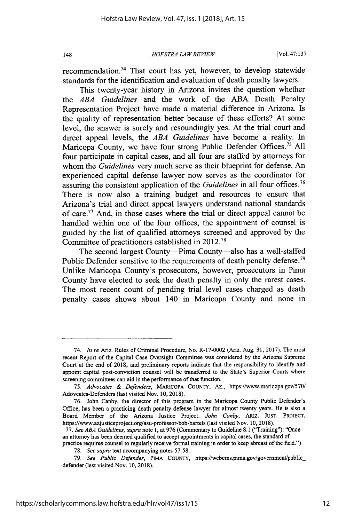*HOFSTRA LA W REVIEW*

recommendation.74 That court has yet, however, to develop statewide standards for the identification and evaluation of death penalty lawyers.

This twenty-year history in Arizona invites the question whether the *ABA Guidelines* and the work of the ABA Death Penalty Representation Project have made a material difference in Arizona. Is the quality of representation better because of these efforts? At some level, the answer is surely and resoundingly yes. At the trial court and direct appeal levels, the *ABA Guidelines* have become a reality. In Maricopa County, we have four strong Public Defender Offices.<sup>75</sup> All four participate in capital cases, and all four are staffed by attorneys for whom the *Guidelines* very much serve as their blueprint for defense. An experienced capital defense lawyer now serves as the coordinator for assuring the consistent application of the *Guidelines* in all four offices.<sup>76</sup> There is now also a training budget and resources to ensure that Arizona's trial and direct appeal lawyers understand national standards of care.<sup>77</sup> And, in those cases where the trial or direct appeal cannot be handled within one of the four offices, the appointment of counsel is guided by the list of qualified attorneys screened and approved by the Committee of practitioners established in 2012.78

The second largest County—Pima County—also has a well-staffed Public Defender sensitive to the requirements of death penalty defense.<sup>79</sup> Unlike Maricopa County's prosecutors, however, prosecutors in Pima County have elected to seek the death penalty in only the rarest cases. The most recent count of pending trial level cases charged as death penalty cases shows about 140 in Maricopa County and none in

<sup>74.</sup> *In re* Ariz. Rules of Criminal Procedure, No. R-17-0002 (Ariz. Aug. 31, 2017). The most recent Report of the Capital Case Oversight Committee was considered by the Arizona Supreme Court at the end of 2018, and preliminary reports indicate that the responsibility to identify and appoint capital post-conviction counsel will be transferred to the State's Superior Courts where screening committees can aid in the performance of that function.

<sup>75.</sup> *Advocates & Defenders,* MARICOPA COUNTY, Az., https://www.maricopa.gov/570/ Adovcates-Defenders (last visited Nov. 10, 2018).

<sup>76.</sup> John Canby, the director of this program in the Maricopa County Public Defender's Office, has been a practicing death penalty defense lawyer for almost twenty years. He is also a Board Member of the Arizona Justice Project. *John Canby,* ARIZ. JUST. PROJECT, https://www.azjusticeproject.org/asu-professor-bob-bartels (last visited Nov. 10, 2018).

<sup>77.</sup> *See ABA Guidelines, supra* note 1, at 976 (Commentary to Guideline 8.1 ("Training"): "Once an attorney has been deemed qualified to accept appointments in capital cases, the standard of practice requires counsel to regularly receive formal training in order to keep abreast of the field.")

<sup>78.</sup> *See supra* text accompanying notes 57-58.

<sup>79.</sup> *See Public Defender,* PIMA COUNTY, https://webcms.pima.gov/govemment/public\_ defender (last visited Nov. 10, 2018).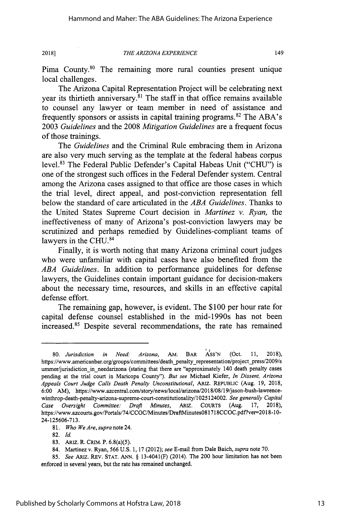#### *THE ARIZONA EXPERIENCE*

149

Pima County.<sup>80</sup> The remaining more rural counties present unique local challenges.

The Arizona Capital Representation Project will be celebrating next year its thirtieth anniversary.<sup>81</sup> The staff in that office remains available to counsel any lawyer or team member in need of assistance and frequently sponsors or assists in capital training programs.<sup>82</sup> The ABA's 2003 *Guidelines* and the 2008 *Mitigation Guidelines* are a frequent focus of those trainings.

The *Guidelines* and the Criminal Rule embracing them in Arizona are also very much serving as the template at the federal habeas corpus level.<sup>83</sup> The Federal Public Defender's Capital Habeas Unit ("CHU") is one of the strongest such offices in the Federal Defender system. Central among the Arizona cases assigned to that office are those cases in which the trial level, direct appeal, and post-conviction representation fell below the standard of care articulated in the *ABA Guidelines.* Thanks to the United States Supreme Court decision in *Martinez v. Ryan,* the ineffectiveness of many of Arizona's post-conviction lawyers may be scrutinized and perhaps remedied by Guidelines-compliant teams of lawyers in the CHU.<sup>84</sup>

Finally, it is worth noting that many Arizona criminal court judges who were unfamiliar with capital cases have also benefited from the *ABA Guidelines.* In addition to performance guidelines for defense lawyers, the Guidelines contain important guidance for decision-makers about the necessary time, resources, and skills in an effective capital defense effort.

The remaining gap, however, is evident. The \$100 per hour rate for capital defense counsel established in the mid-1990s has not been increased.<sup>85</sup> Despite several recommendations, the rate has remained

<sup>80.</sup> *Jurisdiction in Need: Arizona,* AM. BAR ASS'N (Oct. 11, 2018), https://www.americanbar.org/groups/committees/death\_penalty\_representation/project\_press/2009/s ummer/jurisdiction in needarizona (stating that there are "approximately 140 death penalty cases pending at the trial court in Maricopa County"). *But* see Michael Kiefer, *In Dissent, Arizona Appeals Court Judge Calls Death Penalty Unconstitutional,* ARIz. REPUBLIC (Aug. 19, 2018, 6:00 AM), https://www.azcentral.com/story/news/local/arizona/2018/08/19/jason-bush-lawrencewinthrop-death-penalty-arizona-supreme-court-constitutionality/1025124002. *See generally Capital Case Oversight Committee: Draft Minutes,* ARIZ. COURTs (Aug. 17, 2018), https://www.azcourts.gov/Portals/74/CCOC/Minutes/DraftMinutes081718CCOC.pdf?ver=2018-10-24-125606-713.

<sup>81.</sup> *Who We Are, supra* note 24.

<sup>82.</sup> **Id.**

<sup>83.</sup> ARiZ. R. CRIM. P. 6.8(a)(5).

<sup>84.</sup> Martinez v. Ryan, 566 U.S. 1, 17 (2012); *see* E-mail from Dale Baich, *supra* note 70.

<sup>85.</sup> *See* ARIz. REV. STAT. ANN. § 13-4041(F) (2014). The 200 hour limitation has not been enforced in several years, but the rate has remained unchanged.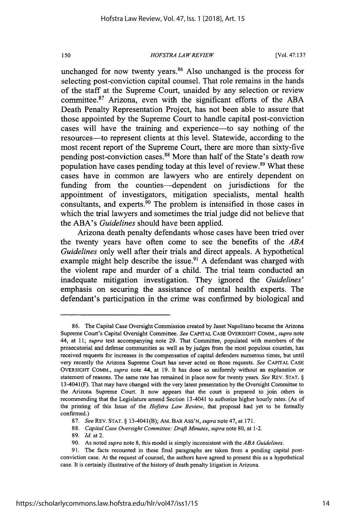*HOFSTRA LA W REVIEW*

[Vol. **47:137**

unchanged for now twenty years.<sup>86</sup> Also unchanged is the process for selecting post-conviction capital counsel. That role remains in the hands of the staff at the Supreme Court, unaided **by** any selection or review committee.<sup>87</sup> Arizona, even with the significant efforts of the ABA Death Penalty Representation Project, has not been able to assure that those appointed **by** the Supreme Court to handle capital post-conviction cases will have the training and experience-to say nothing of the resources—to represent clients at this level. Statewide, according to the most recent report of the Supreme Court, there are more than sixty-five pending post-conviction cases.<sup>88</sup> More than half of the State's death row population have cases pending today at this level of review.<sup>89</sup> What these cases have in common are lawyers who are entirely dependent on **funding** from the counties--dependent on jurisdictions for the appointment of investigators, mitigation specialists, mental health consultants, and experts.<sup>90</sup> The problem is intensified in those cases in which the trial lawyers and sometimes the trial judge did not believe that the **ABA's** *Guidelines* should have been applied.

Arizona death penalty defendants whose cases have been tried over the twenty years have often come to see the benefits of the *ABA Guidelines* only well after their trials and direct appeals. **A** hypothetical example might help describe the issue.<sup>91</sup> A defendant was charged with the violent rape and murder of a child. The trial team conducted an inadequate mitigation investigation. They ignored the *Guidelines'* emphasis on securing the assistance of mental health experts. The defendant's participation in the crime was confirmed **by** biological and

**<sup>86.</sup>** The Capital Case Oversight Commission created **by** Janet Napolitano became the Arizona Supreme Court's Capital Oversight Committee. *See* **CAPITAL CASE** OVERSIGHT COMM., *supra* note 44, at **11;** *supra* text accompanying note **29.** That Committee, populated with members of the prosecutorial and defense communities as well as **by** judges from the most populous counties, has received requests for increases in the compensation of capital defenders numerous times, but until very recently the Arizona Supreme Court has never acted on those requests. *See* **CAPITAL CASE** OVERSIGHT COMM., *supra* note 44, at **19.** It has done so uniformly without an explanation or statement of reasons. The same rate has remained in place now for twenty years. *See* REV. **STAT. §** 13-4041(F). That may have changed with the very latest presentation **by** the Oversight Committee to the Arizona Supreme Court. It now appears that the court is prepared to join others in recommending that the Legislature amend Section 13-4041 to authorize higher hourly rates. (As of the printing of this Issue of the *Hofstra Law Review,* that proposal had yet to be formally confirmed.)

**<sup>87.</sup>** *See* REV. **STAT. §** 13-4041(B); AM. BAR ASS'N, *supra* note 47, at **171.**

**<sup>88.</sup>** *Capital Case Oversight Committee: Draft Minutes, supra* note **80,** at 1-2.

**<sup>89.</sup>** *Id.* at 2.

**<sup>90.</sup>** As noted *supra* note **8,** this model is simply inconsistent with the *ABA Guidelines.*

**<sup>91.</sup>** The facts recounted in these final paragraphs are taken from a pending capital postconviction case. At the request of counsel, the authors have agreed to present this as a hypothetical case. It is certainly illustrative of the history of death penalty litigation in Arizona.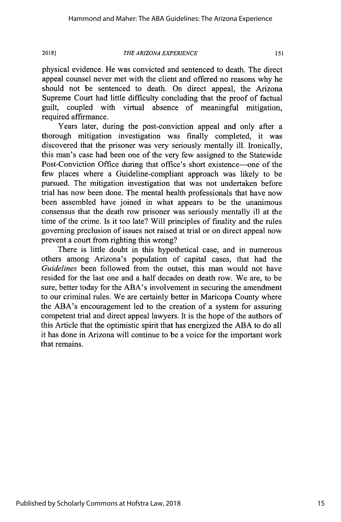#### *THE ARIZONA EXPERIENCE*

151

physical evidence. He was convicted and sentenced to death. The direct appeal counsel never met with the client and offered no reasons why he should not be sentenced to death. On direct appeal, the Arizona Supreme Court had little difficulty concluding that the proof of factual guilt, coupled with virtual absence of meaningful mitigation, required affirmance.

Years later, during the post-conviction appeal and only after a thorough mitigation investigation was finally completed, it was discovered that the prisoner was very seriously mentally ill. Ironically, this man's case had been one of the very few assigned to the Statewide Post-Conviction Office during that office's short existence—one of the few places where a Guideline-compliant approach was likely to be pursued. The mitigation investigation that was not undertaken before trial has now been done. The mental health professionals that have now been assembled have joined in what appears to be the unanimous consensus that the death row prisoner was seriously mentally ill at the time of the crime. Is it too late? Will principles of finality and the rules governing preclusion of issues not raised at trial or on direct appeal now prevent a court from righting this wrong?

There is little doubt in this hypothetical case, and in numerous others among Arizona's population of capital cases, that had the *Guidelines* been followed from the outset, this man would not have resided for the last one and a half decades on death row. We are, to be sure, better today for the ABA's involvement in securing the amendment to our criminal rules. We are certainly better in Maricopa County where the ABA's encouragement led to the creation of a system for assuring competent trial and direct appeal lawyers. It is the hope of the authors of this Article that the optimistic spirit that has energized the ABA to do all it has done in Arizona will continue to be a voice for the important work that remains.